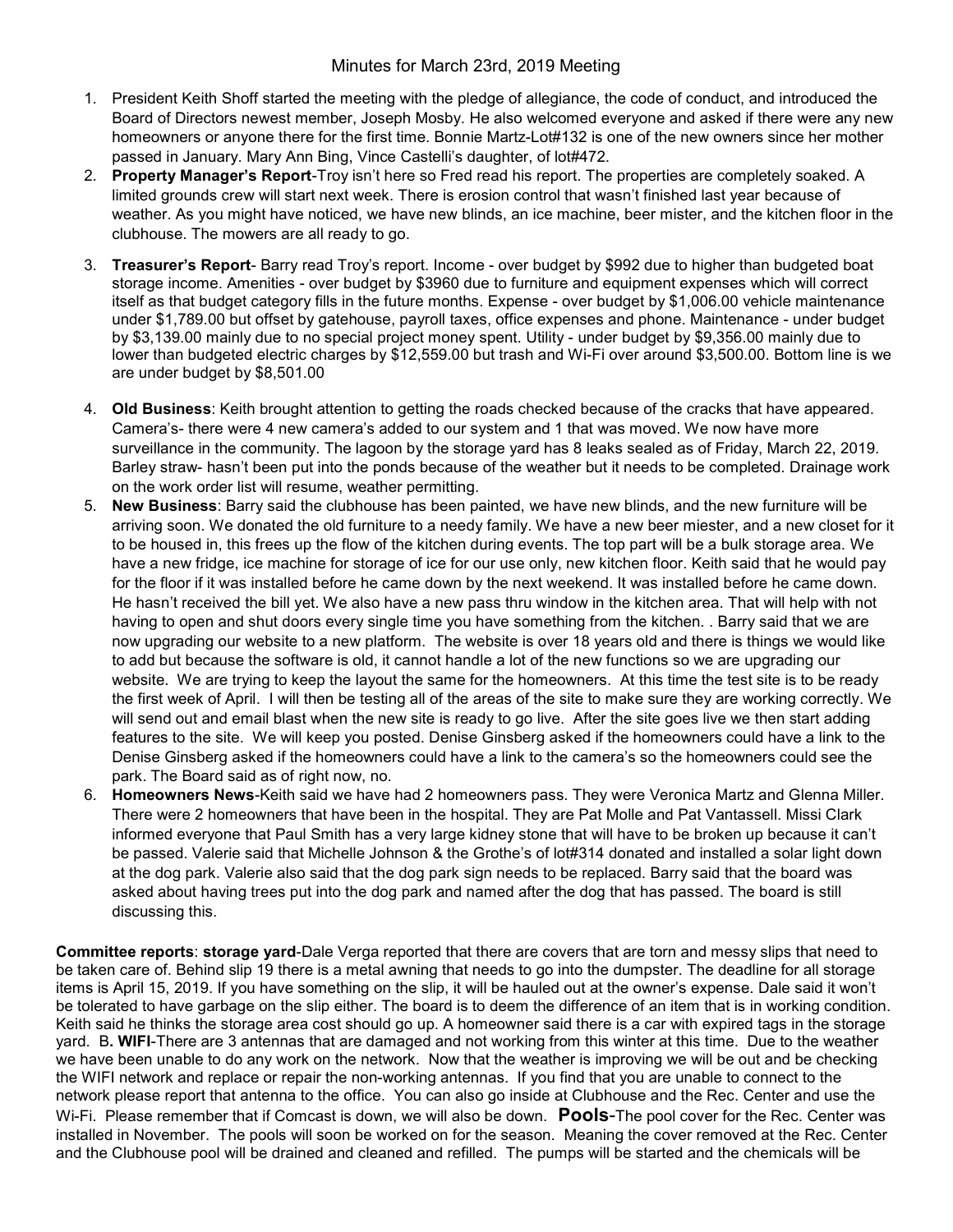## Minutes for March 23rd, 2019 Meeting

- 1. President Keith Shoff started the meeting with the pledge of allegiance, the code of conduct, and introduced the Board of Directors newest member, Joseph Mosby. He also welcomed everyone and asked if there were any new homeowners or anyone there for the first time. Bonnie Martz-Lot#132 is one of the new owners since her mother passed in January. Mary Ann Bing, Vince Castelli's daughter, of lot#472.
- 2. Property Manager's Report-Troy isn't here so Fred read his report. The properties are completely soaked. A limited grounds crew will start next week. There is erosion control that wasn't finished last year because of weather. As you might have noticed, we have new blinds, an ice machine, beer mister, and the kitchen floor in the clubhouse. The mowers are all ready to go.
- 3. Treasurer's Report- Barry read Troy's report. Income over budget by \$992 due to higher than budgeted boat storage income. Amenities - over budget by \$3960 due to furniture and equipment expenses which will correct itself as that budget category fills in the future months. Expense - over budget by \$1,006.00 vehicle maintenance under \$1,789.00 but offset by gatehouse, payroll taxes, office expenses and phone. Maintenance - under budget by \$3,139.00 mainly due to no special project money spent. Utility - under budget by \$9,356.00 mainly due to lower than budgeted electric charges by \$12,559.00 but trash and Wi-Fi over around \$3,500.00. Bottom line is we are under budget by \$8,501.00
- 4. Old Business: Keith brought attention to getting the roads checked because of the cracks that have appeared. Camera's- there were 4 new camera's added to our system and 1 that was moved. We now have more surveillance in the community. The lagoon by the storage yard has 8 leaks sealed as of Friday, March 22, 2019. Barley straw- hasn't been put into the ponds because of the weather but it needs to be completed. Drainage work on the work order list will resume, weather permitting.
- 5. New Business: Barry said the clubhouse has been painted, we have new blinds, and the new furniture will be arriving soon. We donated the old furniture to a needy family. We have a new beer miester, and a new closet for it to be housed in, this frees up the flow of the kitchen during events. The top part will be a bulk storage area. We have a new fridge, ice machine for storage of ice for our use only, new kitchen floor. Keith said that he would pay for the floor if it was installed before he came down by the next weekend. It was installed before he came down. He hasn't received the bill yet. We also have a new pass thru window in the kitchen area. That will help with not having to open and shut doors every single time you have something from the kitchen. . Barry said that we are now upgrading our website to a new platform. The website is over 18 years old and there is things we would like to add but because the software is old, it cannot handle a lot of the new functions so we are upgrading our website. We are trying to keep the layout the same for the homeowners. At this time the test site is to be ready the first week of April. I will then be testing all of the areas of the site to make sure they are working correctly. We will send out and email blast when the new site is ready to go live. After the site goes live we then start adding features to the site. We will keep you posted. Denise Ginsberg asked if the homeowners could have a link to the Denise Ginsberg asked if the homeowners could have a link to the camera's so the homeowners could see the park. The Board said as of right now, no.
- 6. Homeowners News-Keith said we have had 2 homeowners pass. They were Veronica Martz and Glenna Miller. There were 2 homeowners that have been in the hospital. They are Pat Molle and Pat Vantassell. Missi Clark informed everyone that Paul Smith has a very large kidney stone that will have to be broken up because it can't be passed. Valerie said that Michelle Johnson & the Grothe's of lot#314 donated and installed a solar light down at the dog park. Valerie also said that the dog park sign needs to be replaced. Barry said that the board was asked about having trees put into the dog park and named after the dog that has passed. The board is still discussing this.

Committee reports: storage vard-Dale Verga reported that there are covers that are torn and messy slips that need to be taken care of. Behind slip 19 there is a metal awning that needs to go into the dumpster. The deadline for all storage items is April 15, 2019. If you have something on the slip, it will be hauled out at the owner's expense. Dale said it won't be tolerated to have garbage on the slip either. The board is to deem the difference of an item that is in working condition. Keith said he thinks the storage area cost should go up. A homeowner said there is a car with expired tags in the storage yard. B. WIFI-There are 3 antennas that are damaged and not working from this winter at this time. Due to the weather we have been unable to do any work on the network. Now that the weather is improving we will be out and be checking the WIFI network and replace or repair the non-working antennas. If you find that you are unable to connect to the network please report that antenna to the office. You can also go inside at Clubhouse and the Rec. Center and use the Wi-Fi. Please remember that if Comcast is down, we will also be down. Pools-The pool cover for the Rec. Center was installed in November. The pools will soon be worked on for the season. Meaning the cover removed at the Rec. Center and the Clubhouse pool will be drained and cleaned and refilled. The pumps will be started and the chemicals will be